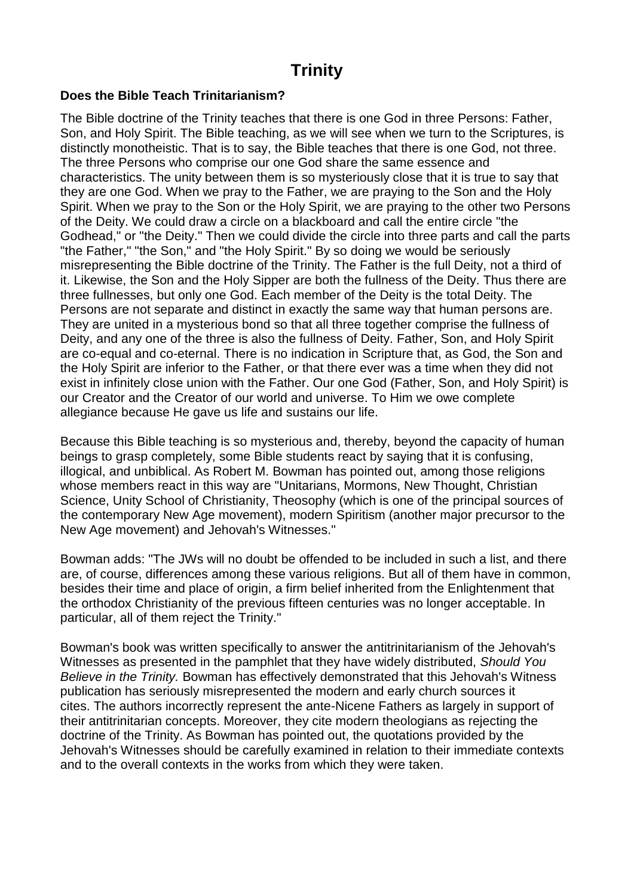# **Trinity**

#### **Does the Bible Teach Trinitarianism?**

The Bible doctrine of the Trinity teaches that there is one God in three Persons: Father, Son, and Holy Spirit. The Bible teaching, as we will see when we turn to the Scriptures, is distinctly monotheistic. That is to say, the Bible teaches that there is one God, not three. The three Persons who comprise our one God share the same essence and characteristics. The unity between them is so mysteriously close that it is true to say that they are one God. When we pray to the Father, we are praying to the Son and the Holy Spirit. When we pray to the Son or the Holy Spirit, we are praying to the other two Persons of the Deity. We could draw a circle on a blackboard and call the entire circle "the Godhead," or "the Deity." Then we could divide the circle into three parts and call the parts "the Father," "the Son," and "the Holy Spirit." By so doing we would be seriously misrepresenting the Bible doctrine of the Trinity. The Father is the full Deity, not a third of it. Likewise, the Son and the Holy Sipper are both the fullness of the Deity. Thus there are three fullnesses, but only one God. Each member of the Deity is the total Deity. The Persons are not separate and distinct in exactly the same way that human persons are. They are united in a mysterious bond so that all three together comprise the fullness of Deity, and any one of the three is also the fullness of Deity. Father, Son, and Holy Spirit are co-equal and co-eternal. There is no indication in Scripture that, as God, the Son and the Holy Spirit are inferior to the Father, or that there ever was a time when they did not exist in infinitely close union with the Father. Our one God (Father, Son, and Holy Spirit) is our Creator and the Creator of our world and universe. To Him we owe complete allegiance because He gave us life and sustains our life.

Because this Bible teaching is so mysterious and, thereby, beyond the capacity of human beings to grasp completely, some Bible students react by saying that it is confusing, illogical, and unbiblical. As Robert M. Bowman has pointed out, among those religions whose members react in this way are "Unitarians, Mormons, New Thought, Christian Science, Unity School of Christianity, Theosophy (which is one of the principal sources of the contemporary New Age movement), modern Spiritism (another major precursor to the New Age movement) and Jehovah's Witnesses."

Bowman adds: "The JWs will no doubt be offended to be included in such a list, and there are, of course, differences among these various religions. But all of them have in common, besides their time and place of origin, a firm belief inherited from the Enlightenment that the orthodox Christianity of the previous fifteen centuries was no longer acceptable. In particular, all of them reject the Trinity."

Bowman's book was written specifically to answer the antitrinitarianism of the Jehovah's Witnesses as presented in the pamphlet that they have widely distributed, *Should You Believe in the Trinity.* Bowman has effectively demonstrated that this Jehovah's Witness publication has seriously misrepresented the modern and early church sources it cites. The authors incorrectly represent the ante-Nicene Fathers as largely in support of their antitrinitarian concepts. Moreover, they cite modern theologians as rejecting the doctrine of the Trinity. As Bowman has pointed out, the quotations provided by the Jehovah's Witnesses should be carefully examined in relation to their immediate contexts and to the overall contexts in the works from which they were taken.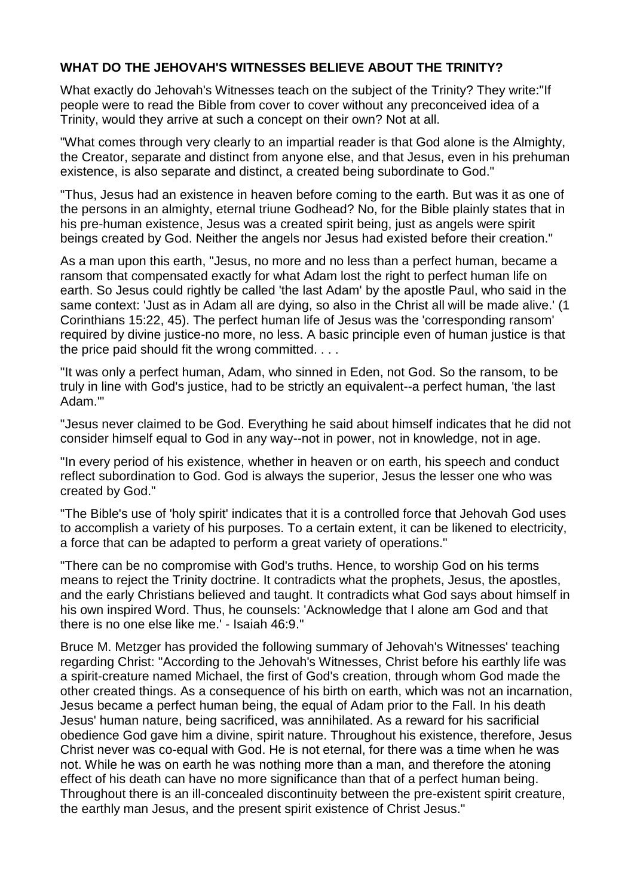# **WHAT DO THE JEHOVAH'S WITNESSES BELIEVE ABOUT THE TRINITY?**

What exactly do Jehovah's Witnesses teach on the subject of the Trinity? They write:"If people were to read the Bible from cover to cover without any preconceived idea of a Trinity, would they arrive at such a concept on their own? Not at all.

"What comes through very clearly to an impartial reader is that God alone is the Almighty, the Creator, separate and distinct from anyone else, and that Jesus, even in his prehuman existence, is also separate and distinct, a created being subordinate to God."

"Thus, Jesus had an existence in heaven before coming to the earth. But was it as one of the persons in an almighty, eternal triune Godhead? No, for the Bible plainly states that in his pre-human existence, Jesus was a created spirit being, just as angels were spirit beings created by God. Neither the angels nor Jesus had existed before their creation."

As a man upon this earth, "Jesus, no more and no less than a perfect human, became a ransom that compensated exactly for what Adam lost the right to perfect human life on earth. So Jesus could rightly be called 'the last Adam' by the apostle Paul, who said in the same context: 'Just as in Adam all are dying, so also in the Christ all will be made alive.' (1 Corinthians 15:22, 45). The perfect human life of Jesus was the 'corresponding ransom' required by divine justice-no more, no less. A basic principle even of human justice is that the price paid should fit the wrong committed. . . .

"It was only a perfect human, Adam, who sinned in Eden, not God. So the ransom, to be truly in line with God's justice, had to be strictly an equivalent--a perfect human, 'the last Adam.'"

"Jesus never claimed to be God. Everything he said about himself indicates that he did not consider himself equal to God in any way--not in power, not in knowledge, not in age.

"In every period of his existence, whether in heaven or on earth, his speech and conduct reflect subordination to God. God is always the superior, Jesus the lesser one who was created by God."

"The Bible's use of 'holy spirit' indicates that it is a controlled force that Jehovah God uses to accomplish a variety of his purposes. To a certain extent, it can be likened to electricity, a force that can be adapted to perform a great variety of operations."

"There can be no compromise with God's truths. Hence, to worship God on his terms means to reject the Trinity doctrine. It contradicts what the prophets, Jesus, the apostles, and the early Christians believed and taught. It contradicts what God says about himself in his own inspired Word. Thus, he counsels: 'Acknowledge that I alone am God and that there is no one else like me.' - Isaiah 46:9."

Bruce M. Metzger has provided the following summary of Jehovah's Witnesses' teaching regarding Christ: "According to the Jehovah's Witnesses, Christ before his earthly life was a spirit-creature named Michael, the first of God's creation, through whom God made the other created things. As a consequence of his birth on earth, which was not an incarnation, Jesus became a perfect human being, the equal of Adam prior to the Fall. In his death Jesus' human nature, being sacrificed, was annihilated. As a reward for his sacrificial obedience God gave him a divine, spirit nature. Throughout his existence, therefore, Jesus Christ never was co-equal with God. He is not eternal, for there was a time when he was not. While he was on earth he was nothing more than a man, and therefore the atoning effect of his death can have no more significance than that of a perfect human being. Throughout there is an ill-concealed discontinuity between the pre-existent spirit creature, the earthly man Jesus, and the present spirit existence of Christ Jesus."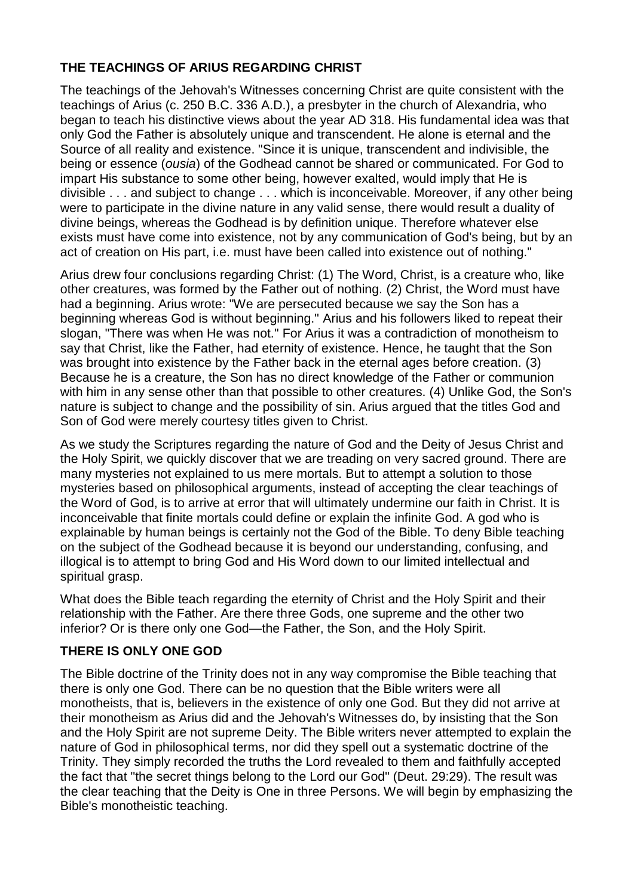# **THE TEACHINGS OF ARIUS REGARDING CHRIST**

The teachings of the Jehovah's Witnesses concerning Christ are quite consistent with the teachings of Arius (c. 250 B.C. 336 A.D.), a presbyter in the church of Alexandria, who began to teach his distinctive views about the year AD 318. His fundamental idea was that only God the Father is absolutely unique and transcendent. He alone is eternal and the Source of all reality and existence. "Since it is unique, transcendent and indivisible, the being or essence (*ousia*) of the Godhead cannot be shared or communicated. For God to impart His substance to some other being, however exalted, would imply that He is divisible . . . and subject to change . . . which is inconceivable. Moreover, if any other being were to participate in the divine nature in any valid sense, there would result a duality of divine beings, whereas the Godhead is by definition unique. Therefore whatever else exists must have come into existence, not by any communication of God's being, but by an act of creation on His part, i.e. must have been called into existence out of nothing."

Arius drew four conclusions regarding Christ: (1) The Word, Christ, is a creature who, like other creatures, was formed by the Father out of nothing. (2) Christ, the Word must have had a beginning. Arius wrote: "We are persecuted because we say the Son has a beginning whereas God is without beginning." Arius and his followers liked to repeat their slogan, "There was when He was not." For Arius it was a contradiction of monotheism to say that Christ, like the Father, had eternity of existence. Hence, he taught that the Son was brought into existence by the Father back in the eternal ages before creation. (3) Because he is a creature, the Son has no direct knowledge of the Father or communion with him in any sense other than that possible to other creatures. (4) Unlike God, the Son's nature is subject to change and the possibility of sin. Arius argued that the titles God and Son of God were merely courtesy titles given to Christ.

As we study the Scriptures regarding the nature of God and the Deity of Jesus Christ and the Holy Spirit, we quickly discover that we are treading on very sacred ground. There are many mysteries not explained to us mere mortals. But to attempt a solution to those mysteries based on philosophical arguments, instead of accepting the clear teachings of the Word of God, is to arrive at error that will ultimately undermine our faith in Christ. It is inconceivable that finite mortals could define or explain the infinite God. A god who is explainable by human beings is certainly not the God of the Bible. To deny Bible teaching on the subject of the Godhead because it is beyond our understanding, confusing, and illogical is to attempt to bring God and His Word down to our limited intellectual and spiritual grasp.

What does the Bible teach regarding the eternity of Christ and the Holy Spirit and their relationship with the Father. Are there three Gods, one supreme and the other two inferior? Or is there only one God—the Father, the Son, and the Holy Spirit.

# **THERE IS ONLY ONE GOD**

The Bible doctrine of the Trinity does not in any way compromise the Bible teaching that there is only one God. There can be no question that the Bible writers were all monotheists, that is, believers in the existence of only one God. But they did not arrive at their monotheism as Arius did and the Jehovah's Witnesses do, by insisting that the Son and the Holy Spirit are not supreme Deity. The Bible writers never attempted to explain the nature of God in philosophical terms, nor did they spell out a systematic doctrine of the Trinity. They simply recorded the truths the Lord revealed to them and faithfully accepted the fact that "the secret things belong to the Lord our God" (Deut. 29:29). The result was the clear teaching that the Deity is One in three Persons. We will begin by emphasizing the Bible's monotheistic teaching.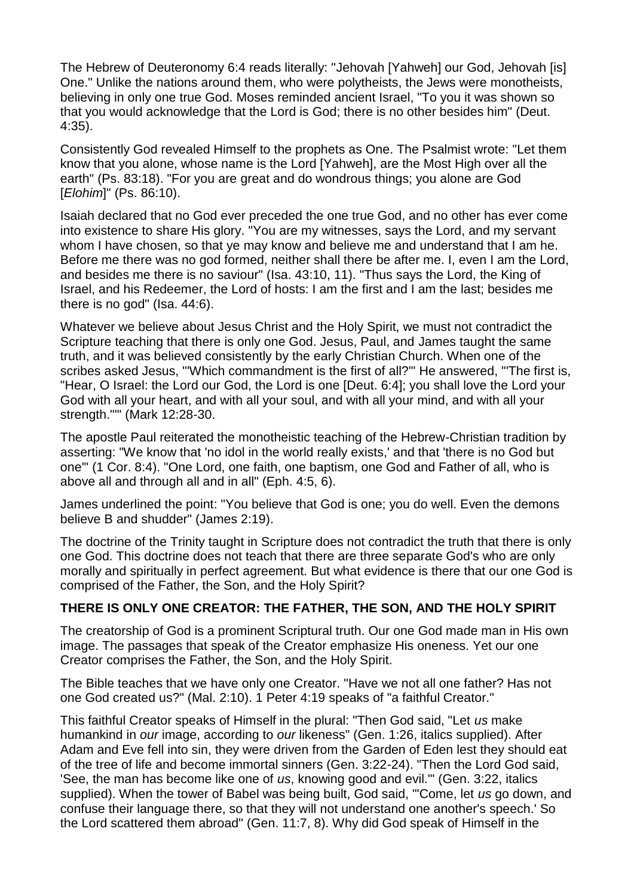The Hebrew of Deuteronomy 6:4 reads literally: "Jehovah [Yahweh] our God, Jehovah [is] One." Unlike the nations around them, who were polytheists, the Jews were monotheists, believing in only one true God. Moses reminded ancient Israel, "To you it was shown so that you would acknowledge that the Lord is God; there is no other besides him" (Deut. 4:35).

Consistently God revealed Himself to the prophets as One. The Psalmist wrote: "Let them know that you alone, whose name is the Lord [Yahweh], are the Most High over all the earth" (Ps. 83:18). "For you are great and do wondrous things; you alone are God [*Elohim*]" (Ps. 86:10).

Isaiah declared that no God ever preceded the one true God, and no other has ever come into existence to share His glory. "You are my witnesses, says the Lord, and my servant whom I have chosen, so that ye may know and believe me and understand that I am he. Before me there was no god formed, neither shall there be after me. I, even I am the Lord, and besides me there is no saviour" (Isa. 43:10, 11). "Thus says the Lord, the King of Israel, and his Redeemer, the Lord of hosts: I am the first and I am the last; besides me there is no god" (Isa. 44:6).

Whatever we believe about Jesus Christ and the Holy Spirit, we must not contradict the Scripture teaching that there is only one God. Jesus, Paul, and James taught the same truth, and it was believed consistently by the early Christian Church. When one of the scribes asked Jesus, "'Which commandment is the first of all?'" He answered, "'The first is, "Hear, O Israel: the Lord our God, the Lord is one [Deut. 6:4]; you shall love the Lord your God with all your heart, and with all your soul, and with all your mind, and with all your strength."'" (Mark 12:28-30.

The apostle Paul reiterated the monotheistic teaching of the Hebrew-Christian tradition by asserting: "We know that 'no idol in the world really exists,' and that 'there is no God but one'" (1 Cor. 8:4). "One Lord, one faith, one baptism, one God and Father of all, who is above all and through all and in all" (Eph. 4:5, 6).

James underlined the point: "You believe that God is one; you do well. Even the demons believe B and shudder" (James 2:19).

The doctrine of the Trinity taught in Scripture does not contradict the truth that there is only one God. This doctrine does not teach that there are three separate God's who are only morally and spiritually in perfect agreement. But what evidence is there that our one God is comprised of the Father, the Son, and the Holy Spirit?

#### **THERE IS ONLY ONE CREATOR: THE FATHER, THE SON, AND THE HOLY SPIRIT**

The creatorship of God is a prominent Scriptural truth. Our one God made man in His own image. The passages that speak of the Creator emphasize His oneness. Yet our one Creator comprises the Father, the Son, and the Holy Spirit.

The Bible teaches that we have only one Creator. "Have we not all one father? Has not one God created us?" (Mal. 2:10). 1 Peter 4:19 speaks of "a faithful Creator."

This faithful Creator speaks of Himself in the plural: "Then God said, "Let *us* make humankind in *our* image, according to *our* likeness" (Gen. 1:26, italics supplied). After Adam and Eve fell into sin, they were driven from the Garden of Eden lest they should eat of the tree of life and become immortal sinners (Gen. 3:22-24). "Then the Lord God said, 'See, the man has become like one of *us*, knowing good and evil.'" (Gen. 3:22, italics supplied). When the tower of Babel was being built, God said, "'Come, let *us* go down, and confuse their language there, so that they will not understand one another's speech.' So the Lord scattered them abroad" (Gen. 11:7, 8). Why did God speak of Himself in the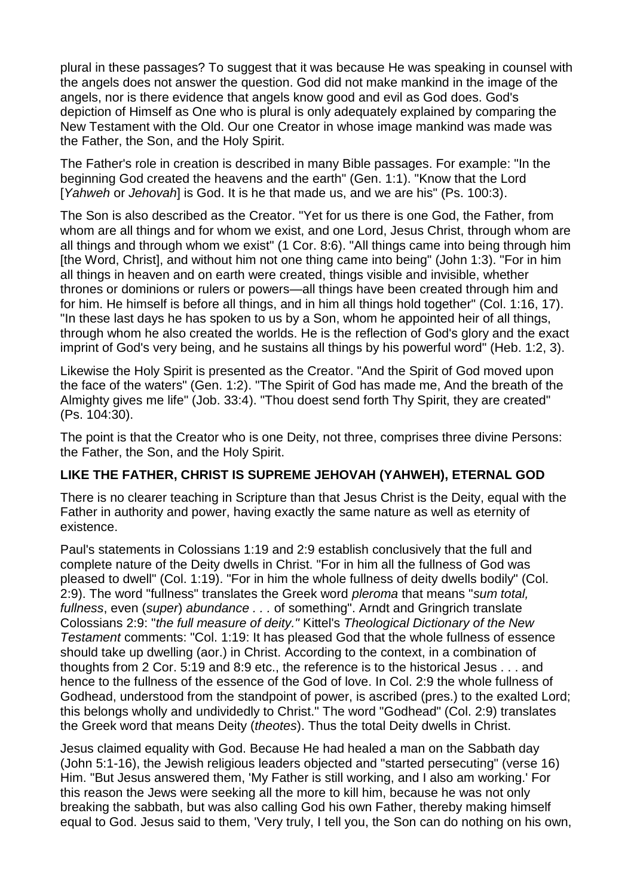plural in these passages? To suggest that it was because He was speaking in counsel with the angels does not answer the question. God did not make mankind in the image of the angels, nor is there evidence that angels know good and evil as God does. God's depiction of Himself as One who is plural is only adequately explained by comparing the New Testament with the Old. Our one Creator in whose image mankind was made was the Father, the Son, and the Holy Spirit.

The Father's role in creation is described in many Bible passages. For example: "In the beginning God created the heavens and the earth" (Gen. 1:1). "Know that the Lord [*Yahweh* or *Jehovah*] is God. It is he that made us, and we are his" (Ps. 100:3).

The Son is also described as the Creator. "Yet for us there is one God, the Father, from whom are all things and for whom we exist, and one Lord, Jesus Christ, through whom are all things and through whom we exist" (1 Cor. 8:6). "All things came into being through him [the Word, Christ], and without him not one thing came into being" (John 1:3). "For in him all things in heaven and on earth were created, things visible and invisible, whether thrones or dominions or rulers or powers—all things have been created through him and for him. He himself is before all things, and in him all things hold together" (Col. 1:16, 17). "In these last days he has spoken to us by a Son, whom he appointed heir of all things, through whom he also created the worlds. He is the reflection of God's glory and the exact imprint of God's very being, and he sustains all things by his powerful word" (Heb. 1:2, 3).

Likewise the Holy Spirit is presented as the Creator. "And the Spirit of God moved upon the face of the waters" (Gen. 1:2). "The Spirit of God has made me, And the breath of the Almighty gives me life" (Job. 33:4). "Thou doest send forth Thy Spirit, they are created" (Ps. 104:30).

The point is that the Creator who is one Deity, not three, comprises three divine Persons: the Father, the Son, and the Holy Spirit.

# **LIKE THE FATHER, CHRIST IS SUPREME JEHOVAH (YAHWEH), ETERNAL GOD**

There is no clearer teaching in Scripture than that Jesus Christ is the Deity, equal with the Father in authority and power, having exactly the same nature as well as eternity of existence.

Paul's statements in Colossians 1:19 and 2:9 establish conclusively that the full and complete nature of the Deity dwells in Christ. "For in him all the fullness of God was pleased to dwell" (Col. 1:19). "For in him the whole fullness of deity dwells bodily" (Col. 2:9). The word "fullness" translates the Greek word *pleroma* that means "*sum total, fullness*, even (*super*) *abundance . . .* of something". Arndt and Gringrich translate Colossians 2:9: "*the full measure of deity."* Kittel's *Theological Dictionary of the New Testament* comments: "Col. 1:19: It has pleased God that the whole fullness of essence should take up dwelling (aor.) in Christ. According to the context, in a combination of thoughts from 2 Cor. 5:19 and 8:9 etc., the reference is to the historical Jesus . . . and hence to the fullness of the essence of the God of love. In Col. 2:9 the whole fullness of Godhead, understood from the standpoint of power, is ascribed (pres.) to the exalted Lord; this belongs wholly and undividedly to Christ." The word "Godhead" (Col. 2:9) translates the Greek word that means Deity (*theotes*). Thus the total Deity dwells in Christ.

Jesus claimed equality with God. Because He had healed a man on the Sabbath day (John 5:1-16), the Jewish religious leaders objected and "started persecuting" (verse 16) Him. "But Jesus answered them, 'My Father is still working, and I also am working.' For this reason the Jews were seeking all the more to kill him, because he was not only breaking the sabbath, but was also calling God his own Father, thereby making himself equal to God. Jesus said to them, 'Very truly, I tell you, the Son can do nothing on his own,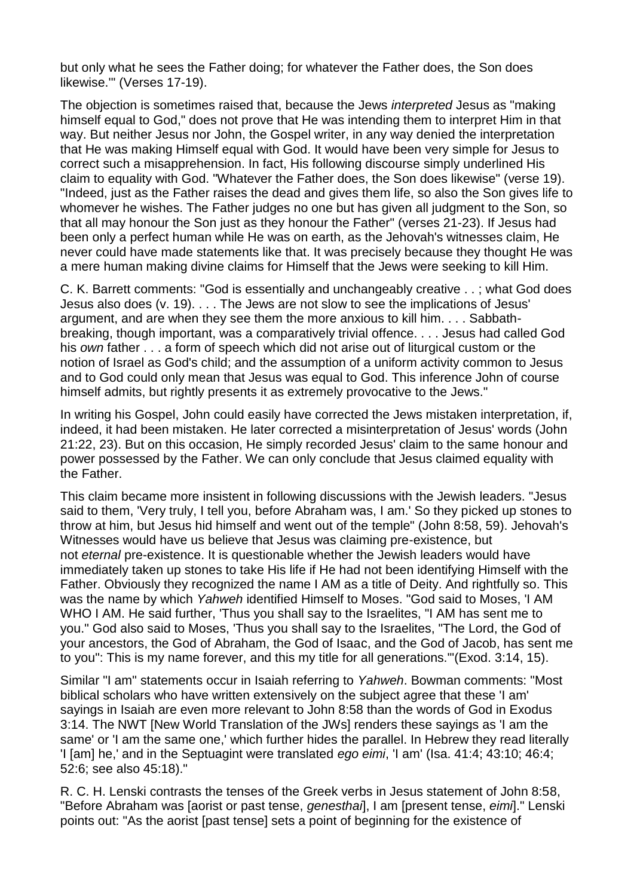but only what he sees the Father doing; for whatever the Father does, the Son does likewise.'" (Verses 17-19).

The objection is sometimes raised that, because the Jews *interpreted* Jesus as "making himself equal to God," does not prove that He was intending them to interpret Him in that way. But neither Jesus nor John, the Gospel writer, in any way denied the interpretation that He was making Himself equal with God. It would have been very simple for Jesus to correct such a misapprehension. In fact, His following discourse simply underlined His claim to equality with God. "Whatever the Father does, the Son does likewise" (verse 19). "Indeed, just as the Father raises the dead and gives them life, so also the Son gives life to whomever he wishes. The Father judges no one but has given all judgment to the Son, so that all may honour the Son just as they honour the Father" (verses 21-23). If Jesus had been only a perfect human while He was on earth, as the Jehovah's witnesses claim, He never could have made statements like that. It was precisely because they thought He was a mere human making divine claims for Himself that the Jews were seeking to kill Him.

C. K. Barrett comments: "God is essentially and unchangeably creative . . ; what God does Jesus also does (v. 19). . . . The Jews are not slow to see the implications of Jesus' argument, and are when they see them the more anxious to kill him. . . . Sabbathbreaking, though important, was a comparatively trivial offence. . . . Jesus had called God his *own* father . . . a form of speech which did not arise out of liturgical custom or the notion of Israel as God's child; and the assumption of a uniform activity common to Jesus and to God could only mean that Jesus was equal to God. This inference John of course himself admits, but rightly presents it as extremely provocative to the Jews."

In writing his Gospel, John could easily have corrected the Jews mistaken interpretation, if, indeed, it had been mistaken. He later corrected a misinterpretation of Jesus' words (John 21:22, 23). But on this occasion, He simply recorded Jesus' claim to the same honour and power possessed by the Father. We can only conclude that Jesus claimed equality with the Father.

This claim became more insistent in following discussions with the Jewish leaders. "Jesus said to them, 'Very truly, I tell you, before Abraham was, I am.' So they picked up stones to throw at him, but Jesus hid himself and went out of the temple" (John 8:58, 59). Jehovah's Witnesses would have us believe that Jesus was claiming pre-existence, but not *eternal* pre-existence. It is questionable whether the Jewish leaders would have immediately taken up stones to take His life if He had not been identifying Himself with the Father. Obviously they recognized the name I AM as a title of Deity. And rightfully so. This was the name by which *Yahweh* identified Himself to Moses. "God said to Moses, 'I AM WHO I AM. He said further, 'Thus you shall say to the Israelites, "I AM has sent me to you." God also said to Moses, 'Thus you shall say to the Israelites, "The Lord, the God of your ancestors, the God of Abraham, the God of Isaac, and the God of Jacob, has sent me to you": This is my name forever, and this my title for all generations.'"(Exod. 3:14, 15).

Similar "I am" statements occur in Isaiah referring to *Yahweh*. Bowman comments: "Most biblical scholars who have written extensively on the subject agree that these 'I am' sayings in Isaiah are even more relevant to John 8:58 than the words of God in Exodus 3:14. The NWT [New World Translation of the JWs] renders these sayings as 'I am the same' or 'I am the same one,' which further hides the parallel. In Hebrew they read literally 'I [am] he,' and in the Septuagint were translated *ego eimi*, 'I am' (Isa. 41:4; 43:10; 46:4; 52:6; see also 45:18)."

R. C. H. Lenski contrasts the tenses of the Greek verbs in Jesus statement of John 8:58, "Before Abraham was [aorist or past tense, *genesthai*], I am [present tense, *eimi*]." Lenski points out: "As the aorist [past tense] sets a point of beginning for the existence of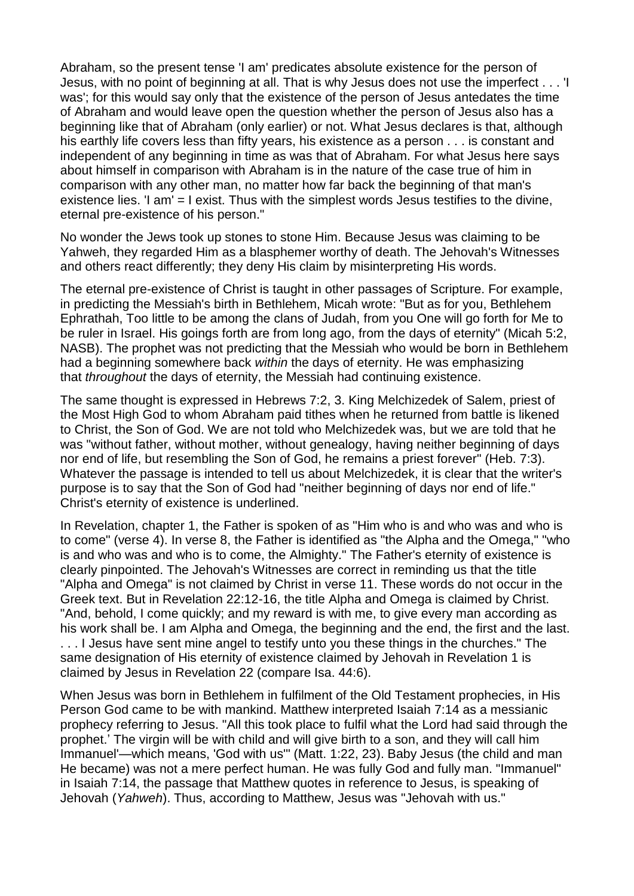Abraham, so the present tense 'I am' predicates absolute existence for the person of Jesus, with no point of beginning at all. That is why Jesus does not use the imperfect . . . 'I was'; for this would say only that the existence of the person of Jesus antedates the time of Abraham and would leave open the question whether the person of Jesus also has a beginning like that of Abraham (only earlier) or not. What Jesus declares is that, although his earthly life covers less than fifty years, his existence as a person . . . is constant and independent of any beginning in time as was that of Abraham. For what Jesus here says about himself in comparison with Abraham is in the nature of the case true of him in comparison with any other man, no matter how far back the beginning of that man's existence lies. 'I am' = I exist. Thus with the simplest words Jesus testifies to the divine, eternal pre-existence of his person."

No wonder the Jews took up stones to stone Him. Because Jesus was claiming to be Yahweh, they regarded Him as a blasphemer worthy of death. The Jehovah's Witnesses and others react differently; they deny His claim by misinterpreting His words.

The eternal pre-existence of Christ is taught in other passages of Scripture. For example, in predicting the Messiah's birth in Bethlehem, Micah wrote: "But as for you, Bethlehem Ephrathah, Too little to be among the clans of Judah, from you One will go forth for Me to be ruler in Israel. His goings forth are from long ago, from the days of eternity" (Micah 5:2, NASB). The prophet was not predicting that the Messiah who would be born in Bethlehem had a beginning somewhere back *within* the days of eternity. He was emphasizing that *throughout* the days of eternity, the Messiah had continuing existence.

The same thought is expressed in Hebrews 7:2, 3. King Melchizedek of Salem, priest of the Most High God to whom Abraham paid tithes when he returned from battle is likened to Christ, the Son of God. We are not told who Melchizedek was, but we are told that he was "without father, without mother, without genealogy, having neither beginning of days nor end of life, but resembling the Son of God, he remains a priest forever" (Heb. 7:3). Whatever the passage is intended to tell us about Melchizedek, it is clear that the writer's purpose is to say that the Son of God had "neither beginning of days nor end of life." Christ's eternity of existence is underlined.

In Revelation, chapter 1, the Father is spoken of as "Him who is and who was and who is to come" (verse 4). In verse 8, the Father is identified as "the Alpha and the Omega," "who is and who was and who is to come, the Almighty." The Father's eternity of existence is clearly pinpointed. The Jehovah's Witnesses are correct in reminding us that the title "Alpha and Omega" is not claimed by Christ in verse 11. These words do not occur in the Greek text. But in Revelation 22:12-16, the title Alpha and Omega is claimed by Christ. "And, behold, I come quickly; and my reward is with me, to give every man according as his work shall be. I am Alpha and Omega, the beginning and the end, the first and the last. . . . I Jesus have sent mine angel to testify unto you these things in the churches." The same designation of His eternity of existence claimed by Jehovah in Revelation 1 is claimed by Jesus in Revelation 22 (compare Isa. 44:6).

When Jesus was born in Bethlehem in fulfilment of the Old Testament prophecies, in His Person God came to be with mankind. Matthew interpreted Isaiah 7:14 as a messianic prophecy referring to Jesus. "All this took place to fulfil what the Lord had said through the prophet.' The virgin will be with child and will give birth to a son, and they will call him Immanuel'—which means, 'God with us'" (Matt. 1:22, 23). Baby Jesus (the child and man He became) was not a mere perfect human. He was fully God and fully man. "Immanuel" in Isaiah 7:14, the passage that Matthew quotes in reference to Jesus, is speaking of Jehovah (*Yahweh*). Thus, according to Matthew, Jesus was "Jehovah with us."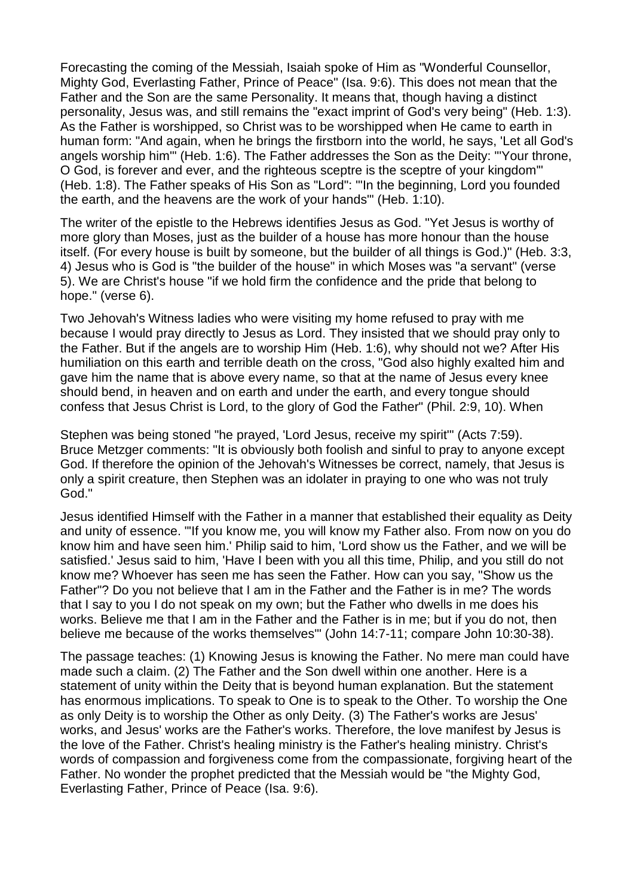Forecasting the coming of the Messiah, Isaiah spoke of Him as "Wonderful Counsellor, Mighty God, Everlasting Father, Prince of Peace" (Isa. 9:6). This does not mean that the Father and the Son are the same Personality. It means that, though having a distinct personality, Jesus was, and still remains the "exact imprint of God's very being" (Heb. 1:3). As the Father is worshipped, so Christ was to be worshipped when He came to earth in human form: "And again, when he brings the firstborn into the world, he says, 'Let all God's angels worship him'" (Heb. 1:6). The Father addresses the Son as the Deity: "'Your throne, O God, is forever and ever, and the righteous sceptre is the sceptre of your kingdom'" (Heb. 1:8). The Father speaks of His Son as "Lord": "'In the beginning, Lord you founded the earth, and the heavens are the work of your hands'" (Heb. 1:10).

The writer of the epistle to the Hebrews identifies Jesus as God. "Yet Jesus is worthy of more glory than Moses, just as the builder of a house has more honour than the house itself. (For every house is built by someone, but the builder of all things is God.)" (Heb. 3:3, 4) Jesus who is God is "the builder of the house" in which Moses was "a servant" (verse 5). We are Christ's house "if we hold firm the confidence and the pride that belong to hope." (verse 6).

Two Jehovah's Witness ladies who were visiting my home refused to pray with me because I would pray directly to Jesus as Lord. They insisted that we should pray only to the Father. But if the angels are to worship Him (Heb. 1:6), why should not we? After His humiliation on this earth and terrible death on the cross, "God also highly exalted him and gave him the name that is above every name, so that at the name of Jesus every knee should bend, in heaven and on earth and under the earth, and every tongue should confess that Jesus Christ is Lord, to the glory of God the Father" (Phil. 2:9, 10). When

Stephen was being stoned "he prayed, 'Lord Jesus, receive my spirit'" (Acts 7:59). Bruce Metzger comments: "It is obviously both foolish and sinful to pray to anyone except God. If therefore the opinion of the Jehovah's Witnesses be correct, namely, that Jesus is only a spirit creature, then Stephen was an idolater in praying to one who was not truly God."

Jesus identified Himself with the Father in a manner that established their equality as Deity and unity of essence. "'If you know me, you will know my Father also. From now on you do know him and have seen him.' Philip said to him, 'Lord show us the Father, and we will be satisfied.' Jesus said to him, 'Have I been with you all this time, Philip, and you still do not know me? Whoever has seen me has seen the Father. How can you say, "Show us the Father"? Do you not believe that I am in the Father and the Father is in me? The words that I say to you I do not speak on my own; but the Father who dwells in me does his works. Believe me that I am in the Father and the Father is in me; but if you do not, then believe me because of the works themselves'" (John 14:7-11; compare John 10:30-38).

The passage teaches: (1) Knowing Jesus is knowing the Father. No mere man could have made such a claim. (2) The Father and the Son dwell within one another. Here is a statement of unity within the Deity that is beyond human explanation. But the statement has enormous implications. To speak to One is to speak to the Other. To worship the One as only Deity is to worship the Other as only Deity. (3) The Father's works are Jesus' works, and Jesus' works are the Father's works. Therefore, the love manifest by Jesus is the love of the Father. Christ's healing ministry is the Father's healing ministry. Christ's words of compassion and forgiveness come from the compassionate, forgiving heart of the Father. No wonder the prophet predicted that the Messiah would be "the Mighty God, Everlasting Father, Prince of Peace (Isa. 9:6).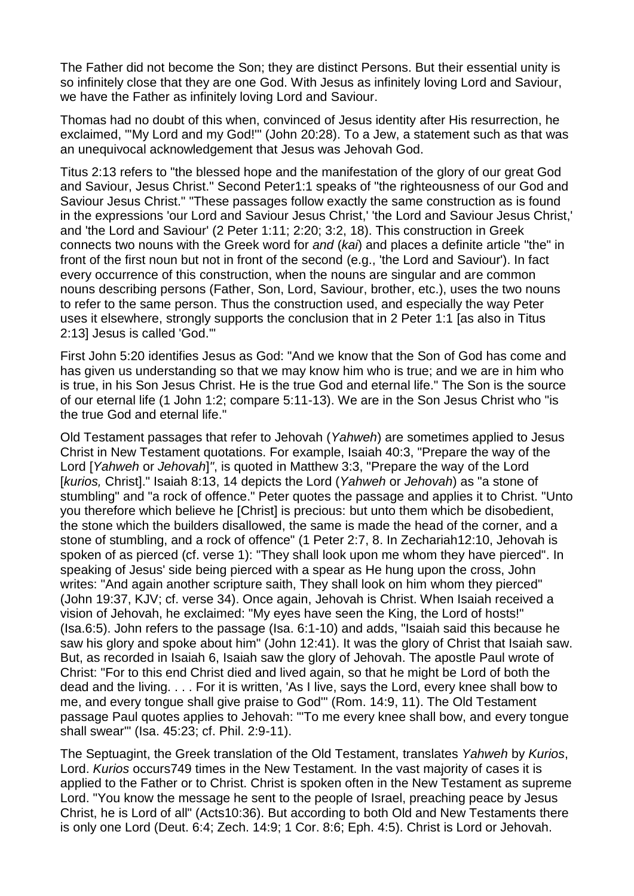The Father did not become the Son; they are distinct Persons. But their essential unity is so infinitely close that they are one God. With Jesus as infinitely loving Lord and Saviour, we have the Father as infinitely loving Lord and Saviour.

Thomas had no doubt of this when, convinced of Jesus identity after His resurrection, he exclaimed, "'My Lord and my God!'" (John 20:28). To a Jew, a statement such as that was an unequivocal acknowledgement that Jesus was Jehovah God.

Titus 2:13 refers to "the blessed hope and the manifestation of the glory of our great God and Saviour, Jesus Christ." Second Peter1:1 speaks of "the righteousness of our God and Saviour Jesus Christ." "These passages follow exactly the same construction as is found in the expressions 'our Lord and Saviour Jesus Christ,' 'the Lord and Saviour Jesus Christ,' and 'the Lord and Saviour' (2 Peter 1:11; 2:20; 3:2, 18). This construction in Greek connects two nouns with the Greek word for *and* (*kai*) and places a definite article "the" in front of the first noun but not in front of the second (e.g., 'the Lord and Saviour'). In fact every occurrence of this construction, when the nouns are singular and are common nouns describing persons (Father, Son, Lord, Saviour, brother, etc.), uses the two nouns to refer to the same person. Thus the construction used, and especially the way Peter uses it elsewhere, strongly supports the conclusion that in 2 Peter 1:1 [as also in Titus 2:13] Jesus is called 'God.'"

First John 5:20 identifies Jesus as God: "And we know that the Son of God has come and has given us understanding so that we may know him who is true; and we are in him who is true, in his Son Jesus Christ. He is the true God and eternal life." The Son is the source of our eternal life (1 John 1:2; compare 5:11-13). We are in the Son Jesus Christ who "is the true God and eternal life."

Old Testament passages that refer to Jehovah (*Yahweh*) are sometimes applied to Jesus Christ in New Testament quotations. For example, Isaiah 40:3, "Prepare the way of the Lord [*Yahweh* or *Jehovah*]*"*, is quoted in Matthew 3:3, "Prepare the way of the Lord [*kurios,* Christ]." Isaiah 8:13, 14 depicts the Lord (*Yahweh* or *Jehovah*) as "a stone of stumbling" and "a rock of offence." Peter quotes the passage and applies it to Christ. "Unto you therefore which believe he [Christ] is precious: but unto them which be disobedient, the stone which the builders disallowed, the same is made the head of the corner, and a stone of stumbling, and a rock of offence" (1 Peter 2:7, 8. In Zechariah12:10, Jehovah is spoken of as pierced (cf. verse 1): "They shall look upon me whom they have pierced". In speaking of Jesus' side being pierced with a spear as He hung upon the cross, John writes: "And again another scripture saith, They shall look on him whom they pierced" (John 19:37, KJV; cf. verse 34). Once again, Jehovah is Christ. When Isaiah received a vision of Jehovah, he exclaimed: "My eyes have seen the King, the Lord of hosts!" (Isa.6:5). John refers to the passage (Isa. 6:1-10) and adds, "Isaiah said this because he saw his glory and spoke about him" (John 12:41). It was the glory of Christ that Isaiah saw. But, as recorded in Isaiah 6, Isaiah saw the glory of Jehovah. The apostle Paul wrote of Christ: "For to this end Christ died and lived again, so that he might be Lord of both the dead and the living. . . . For it is written, 'As I live, says the Lord, every knee shall bow to me, and every tongue shall give praise to God'" (Rom. 14:9, 11). The Old Testament passage Paul quotes applies to Jehovah: "'To me every knee shall bow, and every tongue shall swear'" (Isa. 45:23; cf. Phil. 2:9-11).

The Septuagint, the Greek translation of the Old Testament, translates *Yahweh* by *Kurios*, Lord. *Kurios* occurs749 times in the New Testament. In the vast majority of cases it is applied to the Father or to Christ. Christ is spoken often in the New Testament as supreme Lord. "You know the message he sent to the people of Israel, preaching peace by Jesus Christ, he is Lord of all" (Acts10:36). But according to both Old and New Testaments there is only one Lord (Deut. 6:4; Zech. 14:9; 1 Cor. 8:6; Eph. 4:5). Christ is Lord or Jehovah.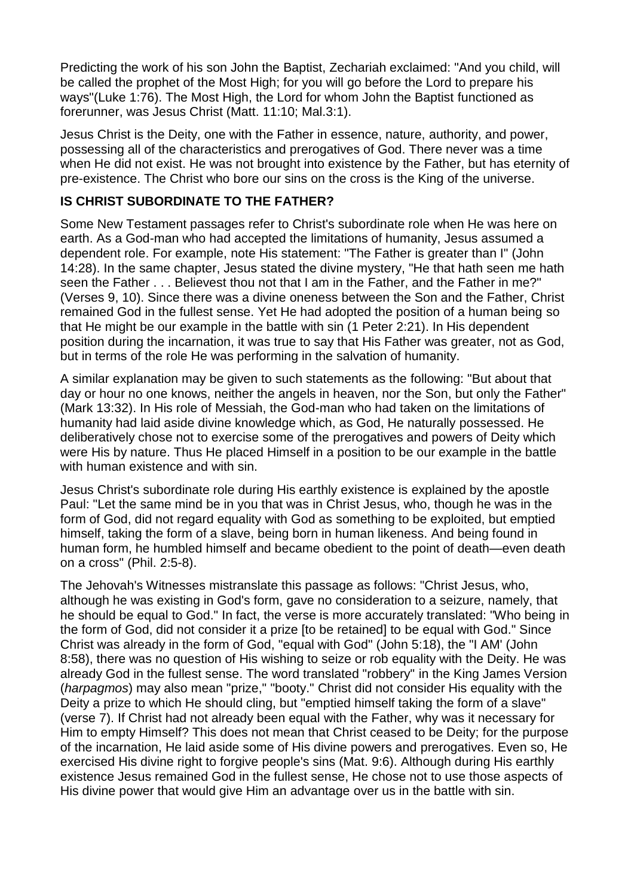Predicting the work of his son John the Baptist, Zechariah exclaimed: "And you child, will be called the prophet of the Most High; for you will go before the Lord to prepare his ways"(Luke 1:76). The Most High, the Lord for whom John the Baptist functioned as forerunner, was Jesus Christ (Matt. 11:10; Mal.3:1).

Jesus Christ is the Deity, one with the Father in essence, nature, authority, and power, possessing all of the characteristics and prerogatives of God. There never was a time when He did not exist. He was not brought into existence by the Father, but has eternity of pre-existence. The Christ who bore our sins on the cross is the King of the universe.

### **IS CHRIST SUBORDINATE TO THE FATHER?**

Some New Testament passages refer to Christ's subordinate role when He was here on earth. As a God-man who had accepted the limitations of humanity, Jesus assumed a dependent role. For example, note His statement: "The Father is greater than I" (John 14:28). In the same chapter, Jesus stated the divine mystery, "He that hath seen me hath seen the Father . . . Believest thou not that I am in the Father, and the Father in me?" (Verses 9, 10). Since there was a divine oneness between the Son and the Father, Christ remained God in the fullest sense. Yet He had adopted the position of a human being so that He might be our example in the battle with sin (1 Peter 2:21). In His dependent position during the incarnation, it was true to say that His Father was greater, not as God, but in terms of the role He was performing in the salvation of humanity.

A similar explanation may be given to such statements as the following: "But about that day or hour no one knows, neither the angels in heaven, nor the Son, but only the Father" (Mark 13:32). In His role of Messiah, the God-man who had taken on the limitations of humanity had laid aside divine knowledge which, as God, He naturally possessed. He deliberatively chose not to exercise some of the prerogatives and powers of Deity which were His by nature. Thus He placed Himself in a position to be our example in the battle with human existence and with sin.

Jesus Christ's subordinate role during His earthly existence is explained by the apostle Paul: "Let the same mind be in you that was in Christ Jesus, who, though he was in the form of God, did not regard equality with God as something to be exploited, but emptied himself, taking the form of a slave, being born in human likeness. And being found in human form, he humbled himself and became obedient to the point of death—even death on a cross" (Phil. 2:5-8).

The Jehovah's Witnesses mistranslate this passage as follows: "Christ Jesus, who, although he was existing in God's form, gave no consideration to a seizure, namely, that he should be equal to God." In fact, the verse is more accurately translated: "Who being in the form of God, did not consider it a prize [to be retained] to be equal with God." Since Christ was already in the form of God, "equal with God" (John 5:18), the "I AM' (John 8:58), there was no question of His wishing to seize or rob equality with the Deity. He was already God in the fullest sense. The word translated "robbery" in the King James Version (*harpagmos*) may also mean "prize," "booty." Christ did not consider His equality with the Deity a prize to which He should cling, but "emptied himself taking the form of a slave" (verse 7). If Christ had not already been equal with the Father, why was it necessary for Him to empty Himself? This does not mean that Christ ceased to be Deity; for the purpose of the incarnation, He laid aside some of His divine powers and prerogatives. Even so, He exercised His divine right to forgive people's sins (Mat. 9:6). Although during His earthly existence Jesus remained God in the fullest sense, He chose not to use those aspects of His divine power that would give Him an advantage over us in the battle with sin.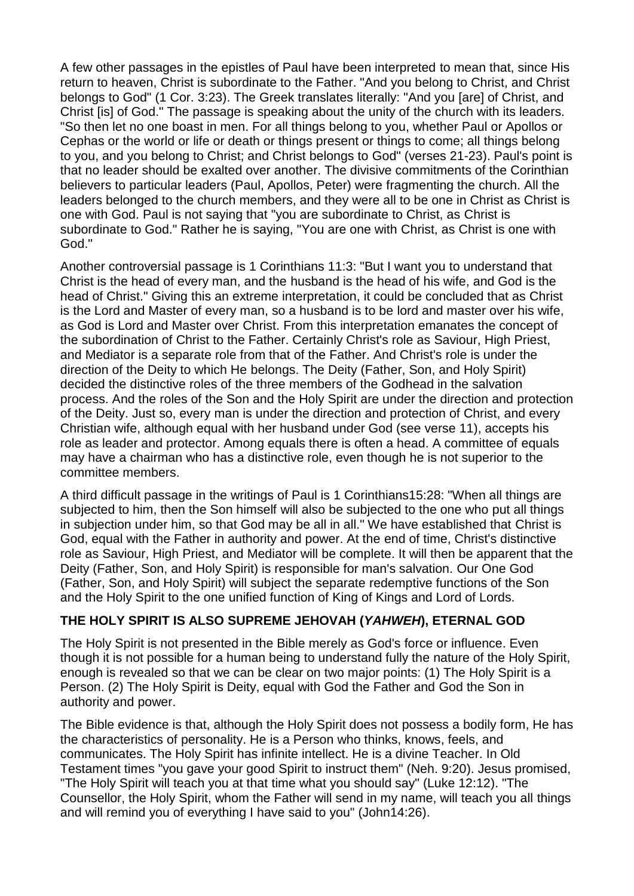A few other passages in the epistles of Paul have been interpreted to mean that, since His return to heaven, Christ is subordinate to the Father. "And you belong to Christ, and Christ belongs to God" (1 Cor. 3:23). The Greek translates literally: "And you [are] of Christ, and Christ [is] of God." The passage is speaking about the unity of the church with its leaders. "So then let no one boast in men. For all things belong to you, whether Paul or Apollos or Cephas or the world or life or death or things present or things to come; all things belong to you, and you belong to Christ; and Christ belongs to God" (verses 21-23). Paul's point is that no leader should be exalted over another. The divisive commitments of the Corinthian believers to particular leaders (Paul, Apollos, Peter) were fragmenting the church. All the leaders belonged to the church members, and they were all to be one in Christ as Christ is one with God. Paul is not saying that "you are subordinate to Christ, as Christ is subordinate to God." Rather he is saying, "You are one with Christ, as Christ is one with God."

Another controversial passage is 1 Corinthians 11:3: "But I want you to understand that Christ is the head of every man, and the husband is the head of his wife, and God is the head of Christ." Giving this an extreme interpretation, it could be concluded that as Christ is the Lord and Master of every man, so a husband is to be lord and master over his wife, as God is Lord and Master over Christ. From this interpretation emanates the concept of the subordination of Christ to the Father. Certainly Christ's role as Saviour, High Priest, and Mediator is a separate role from that of the Father. And Christ's role is under the direction of the Deity to which He belongs. The Deity (Father, Son, and Holy Spirit) decided the distinctive roles of the three members of the Godhead in the salvation process. And the roles of the Son and the Holy Spirit are under the direction and protection of the Deity. Just so, every man is under the direction and protection of Christ, and every Christian wife, although equal with her husband under God (see verse 11), accepts his role as leader and protector. Among equals there is often a head. A committee of equals may have a chairman who has a distinctive role, even though he is not superior to the committee members.

A third difficult passage in the writings of Paul is 1 Corinthians15:28: "When all things are subjected to him, then the Son himself will also be subjected to the one who put all things in subjection under him, so that God may be all in all." We have established that Christ is God, equal with the Father in authority and power. At the end of time, Christ's distinctive role as Saviour, High Priest, and Mediator will be complete. It will then be apparent that the Deity (Father, Son, and Holy Spirit) is responsible for man's salvation. Our One God (Father, Son, and Holy Spirit) will subject the separate redemptive functions of the Son and the Holy Spirit to the one unified function of King of Kings and Lord of Lords.

# **THE HOLY SPIRIT IS ALSO SUPREME JEHOVAH (***YAHWEH***), ETERNAL GOD**

The Holy Spirit is not presented in the Bible merely as God's force or influence. Even though it is not possible for a human being to understand fully the nature of the Holy Spirit, enough is revealed so that we can be clear on two major points: (1) The Holy Spirit is a Person. (2) The Holy Spirit is Deity, equal with God the Father and God the Son in authority and power.

The Bible evidence is that, although the Holy Spirit does not possess a bodily form, He has the characteristics of personality. He is a Person who thinks, knows, feels, and communicates. The Holy Spirit has infinite intellect. He is a divine Teacher. In Old Testament times "you gave your good Spirit to instruct them" (Neh. 9:20). Jesus promised, "The Holy Spirit will teach you at that time what you should say" (Luke 12:12). "The Counsellor, the Holy Spirit, whom the Father will send in my name, will teach you all things and will remind you of everything I have said to you" (John14:26).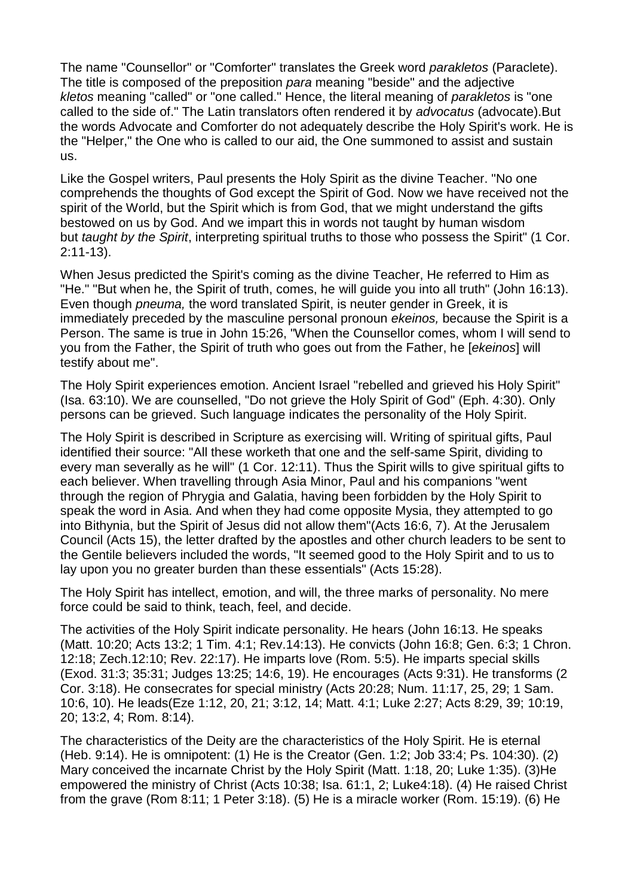The name "Counsellor" or "Comforter" translates the Greek word *parakletos* (Paraclete). The title is composed of the preposition *para* meaning "beside" and the adjective *kletos* meaning "called" or "one called." Hence, the literal meaning of *parakletos* is "one called to the side of." The Latin translators often rendered it by *advocatus* (advocate).But the words Advocate and Comforter do not adequately describe the Holy Spirit's work. He is the "Helper," the One who is called to our aid, the One summoned to assist and sustain us.

Like the Gospel writers, Paul presents the Holy Spirit as the divine Teacher. "No one comprehends the thoughts of God except the Spirit of God. Now we have received not the spirit of the World, but the Spirit which is from God, that we might understand the gifts bestowed on us by God. And we impart this in words not taught by human wisdom but *taught by the Spirit*, interpreting spiritual truths to those who possess the Spirit" (1 Cor. 2:11-13).

When Jesus predicted the Spirit's coming as the divine Teacher, He referred to Him as "He." "But when he, the Spirit of truth, comes, he will guide you into all truth" (John 16:13). Even though *pneuma,* the word translated Spirit, is neuter gender in Greek, it is immediately preceded by the masculine personal pronoun *ekeinos,* because the Spirit is a Person. The same is true in John 15:26, "When the Counsellor comes, whom I will send to you from the Father, the Spirit of truth who goes out from the Father, he [*ekeinos*] will testify about me".

The Holy Spirit experiences emotion. Ancient Israel "rebelled and grieved his Holy Spirit" (Isa. 63:10). We are counselled, "Do not grieve the Holy Spirit of God" (Eph. 4:30). Only persons can be grieved. Such language indicates the personality of the Holy Spirit.

The Holy Spirit is described in Scripture as exercising will. Writing of spiritual gifts, Paul identified their source: "All these worketh that one and the self-same Spirit, dividing to every man severally as he will" (1 Cor. 12:11). Thus the Spirit wills to give spiritual gifts to each believer. When travelling through Asia Minor, Paul and his companions "went through the region of Phrygia and Galatia, having been forbidden by the Holy Spirit to speak the word in Asia. And when they had come opposite Mysia, they attempted to go into Bithynia, but the Spirit of Jesus did not allow them"(Acts 16:6, 7). At the Jerusalem Council (Acts 15), the letter drafted by the apostles and other church leaders to be sent to the Gentile believers included the words, "It seemed good to the Holy Spirit and to us to lay upon you no greater burden than these essentials" (Acts 15:28).

The Holy Spirit has intellect, emotion, and will, the three marks of personality. No mere force could be said to think, teach, feel, and decide.

The activities of the Holy Spirit indicate personality. He hears (John 16:13. He speaks (Matt. 10:20; Acts 13:2; 1 Tim. 4:1; Rev.14:13). He convicts (John 16:8; Gen. 6:3; 1 Chron. 12:18; Zech.12:10; Rev. 22:17). He imparts love (Rom. 5:5). He imparts special skills (Exod. 31:3; 35:31; Judges 13:25; 14:6, 19). He encourages (Acts 9:31). He transforms (2 Cor. 3:18). He consecrates for special ministry (Acts 20:28; Num. 11:17, 25, 29; 1 Sam. 10:6, 10). He leads(Eze 1:12, 20, 21; 3:12, 14; Matt. 4:1; Luke 2:27; Acts 8:29, 39; 10:19, 20; 13:2, 4; Rom. 8:14).

The characteristics of the Deity are the characteristics of the Holy Spirit. He is eternal (Heb. 9:14). He is omnipotent: (1) He is the Creator (Gen. 1:2; Job 33:4; Ps. 104:30). (2) Mary conceived the incarnate Christ by the Holy Spirit (Matt. 1:18, 20; Luke 1:35). (3)He empowered the ministry of Christ (Acts 10:38; Isa. 61:1, 2; Luke4:18). (4) He raised Christ from the grave (Rom 8:11; 1 Peter 3:18). (5) He is a miracle worker (Rom. 15:19). (6) He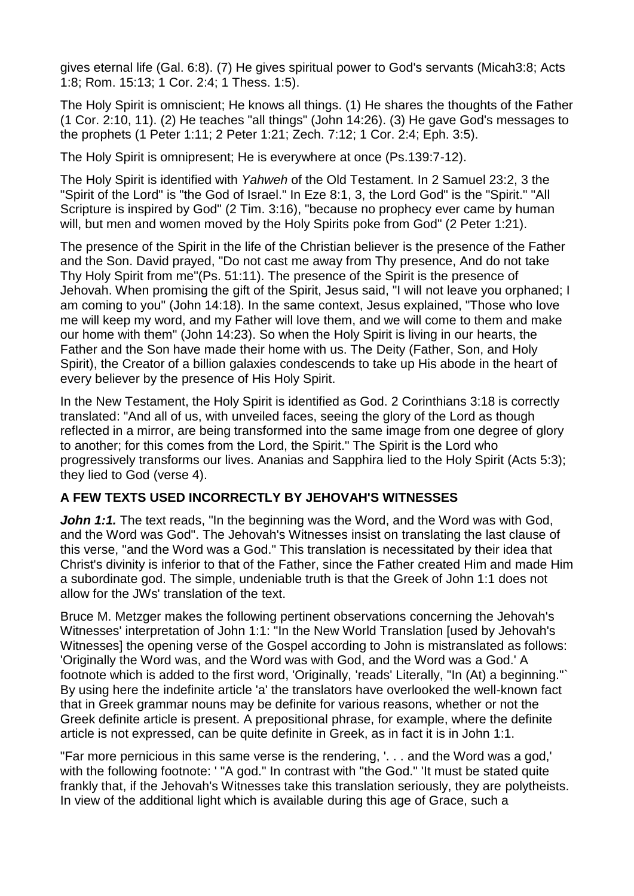gives eternal life (Gal. 6:8). (7) He gives spiritual power to God's servants (Micah3:8; Acts 1:8; Rom. 15:13; 1 Cor. 2:4; 1 Thess. 1:5).

The Holy Spirit is omniscient; He knows all things. (1) He shares the thoughts of the Father (1 Cor. 2:10, 11). (2) He teaches "all things" (John 14:26). (3) He gave God's messages to the prophets (1 Peter 1:11; 2 Peter 1:21; Zech. 7:12; 1 Cor. 2:4; Eph. 3:5).

The Holy Spirit is omnipresent; He is everywhere at once (Ps.139:7-12).

The Holy Spirit is identified with *Yahweh* of the Old Testament. In 2 Samuel 23:2, 3 the "Spirit of the Lord" is "the God of Israel." In Eze 8:1, 3, the Lord God" is the "Spirit." "All Scripture is inspired by God" (2 Tim. 3:16), "because no prophecy ever came by human will, but men and women moved by the Holy Spirits poke from God" (2 Peter 1:21).

The presence of the Spirit in the life of the Christian believer is the presence of the Father and the Son. David prayed, "Do not cast me away from Thy presence, And do not take Thy Holy Spirit from me"(Ps. 51:11). The presence of the Spirit is the presence of Jehovah. When promising the gift of the Spirit, Jesus said, "I will not leave you orphaned; I am coming to you" (John 14:18). In the same context, Jesus explained, "Those who love me will keep my word, and my Father will love them, and we will come to them and make our home with them" (John 14:23). So when the Holy Spirit is living in our hearts, the Father and the Son have made their home with us. The Deity (Father, Son, and Holy Spirit), the Creator of a billion galaxies condescends to take up His abode in the heart of every believer by the presence of His Holy Spirit.

In the New Testament, the Holy Spirit is identified as God. 2 Corinthians 3:18 is correctly translated: "And all of us, with unveiled faces, seeing the glory of the Lord as though reflected in a mirror, are being transformed into the same image from one degree of glory to another; for this comes from the Lord, the Spirit." The Spirit is the Lord who progressively transforms our lives. Ananias and Sapphira lied to the Holy Spirit (Acts 5:3); they lied to God (verse 4).

# **A FEW TEXTS USED INCORRECTLY BY JEHOVAH'S WITNESSES**

**John 1:1.** The text reads, "In the beginning was the Word, and the Word was with God, and the Word was God". The Jehovah's Witnesses insist on translating the last clause of this verse, "and the Word was a God." This translation is necessitated by their idea that Christ's divinity is inferior to that of the Father, since the Father created Him and made Him a subordinate god. The simple, undeniable truth is that the Greek of John 1:1 does not allow for the JWs' translation of the text.

Bruce M. Metzger makes the following pertinent observations concerning the Jehovah's Witnesses' interpretation of John 1:1: "In the New World Translation [used by Jehovah's Witnesses] the opening verse of the Gospel according to John is mistranslated as follows: 'Originally the Word was, and the Word was with God, and the Word was a God.' A footnote which is added to the first word, 'Originally, 'reads' Literally, "In (At) a beginning."` By using here the indefinite article 'a' the translators have overlooked the well-known fact that in Greek grammar nouns may be definite for various reasons, whether or not the Greek definite article is present. A prepositional phrase, for example, where the definite article is not expressed, can be quite definite in Greek, as in fact it is in John 1:1.

"Far more pernicious in this same verse is the rendering, '. . . and the Word was a god,' with the following footnote: ' "A god." In contrast with "the God." 'It must be stated quite frankly that, if the Jehovah's Witnesses take this translation seriously, they are polytheists. In view of the additional light which is available during this age of Grace, such a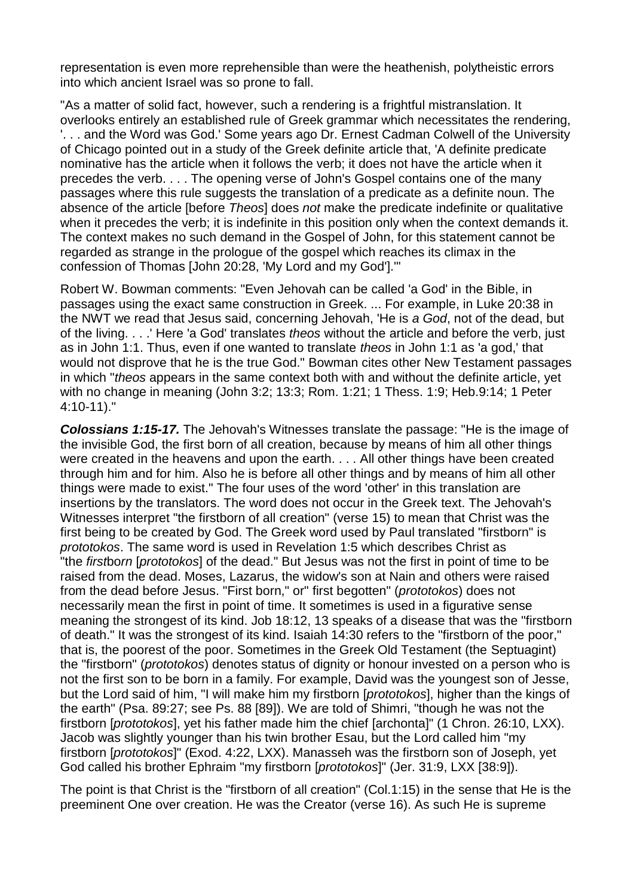representation is even more reprehensible than were the heathenish, polytheistic errors into which ancient Israel was so prone to fall.

"As a matter of solid fact, however, such a rendering is a frightful mistranslation. It overlooks entirely an established rule of Greek grammar which necessitates the rendering, '. . . and the Word was God.' Some years ago Dr. Ernest Cadman Colwell of the University of Chicago pointed out in a study of the Greek definite article that, 'A definite predicate nominative has the article when it follows the verb; it does not have the article when it precedes the verb. . . . The opening verse of John's Gospel contains one of the many passages where this rule suggests the translation of a predicate as a definite noun. The absence of the article [before *Theos*] does *not* make the predicate indefinite or qualitative when it precedes the verb; it is indefinite in this position only when the context demands it. The context makes no such demand in the Gospel of John, for this statement cannot be regarded as strange in the prologue of the gospel which reaches its climax in the confession of Thomas [John 20:28, 'My Lord and my God'].'"

Robert W. Bowman comments: "Even Jehovah can be called 'a God' in the Bible, in passages using the exact same construction in Greek. ... For example, in Luke 20:38 in the NWT we read that Jesus said, concerning Jehovah, 'He is *a God*, not of the dead, but of the living. . . .' Here 'a God' translates *theos* without the article and before the verb, just as in John 1:1. Thus, even if one wanted to translate *theos* in John 1:1 as 'a god,' that would not disprove that he is the true God." Bowman cites other New Testament passages in which "*theos* appears in the same context both with and without the definite article, yet with no change in meaning (John 3:2; 13:3; Rom. 1:21; 1 Thess. 1:9; Heb.9:14; 1 Peter 4:10-11)."

*Colossians 1:15-17.* The Jehovah's Witnesses translate the passage: "He is the image of the invisible God, the first born of all creation, because by means of him all other things were created in the heavens and upon the earth. . . . All other things have been created through him and for him. Also he is before all other things and by means of him all other things were made to exist." The four uses of the word 'other' in this translation are insertions by the translators. The word does not occur in the Greek text. The Jehovah's Witnesses interpret "the firstborn of all creation" (verse 15) to mean that Christ was the first being to be created by God. The Greek word used by Paul translated "firstborn" is *prototokos*. The same word is used in Revelation 1:5 which describes Christ as "the *first*bo*rn* [*prototokos*] of the dead." But Jesus was not the first in point of time to be raised from the dead. Moses, Lazarus, the widow's son at Nain and others were raised from the dead before Jesus. "First born," or" first begotten" (*prototokos*) does not necessarily mean the first in point of time. It sometimes is used in a figurative sense meaning the strongest of its kind. Job 18:12, 13 speaks of a disease that was the "firstborn of death." It was the strongest of its kind. Isaiah 14:30 refers to the "firstborn of the poor," that is, the poorest of the poor. Sometimes in the Greek Old Testament (the Septuagint) the "firstborn" (*prototokos*) denotes status of dignity or honour invested on a person who is not the first son to be born in a family. For example, David was the youngest son of Jesse, but the Lord said of him, "I will make him my firstborn [*prototokos*], higher than the kings of the earth" (Psa. 89:27; see Ps. 88 [89]). We are told of Shimri, "though he was not the firstborn [*prototokos*], yet his father made him the chief [archonta]" (1 Chron. 26:10, LXX). Jacob was slightly younger than his twin brother Esau, but the Lord called him "my firstborn [*prototokos*]" (Exod. 4:22, LXX). Manasseh was the firstborn son of Joseph, yet God called his brother Ephraim "my firstborn [*prototokos*]" (Jer. 31:9, LXX [38:9]).

The point is that Christ is the "firstborn of all creation" (Col.1:15) in the sense that He is the preeminent One over creation. He was the Creator (verse 16). As such He is supreme